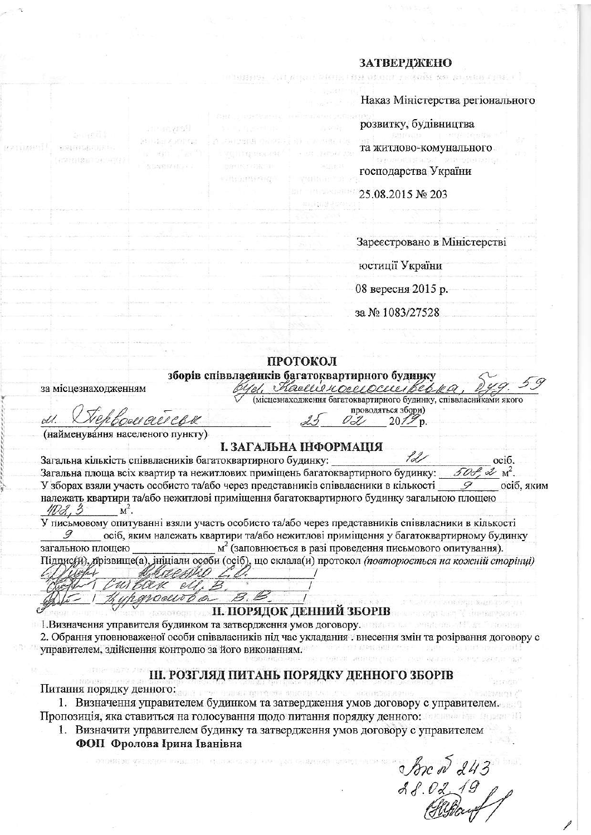## **ЗАТВЕРДЖЕНО** បវានាយាលា សាមិវាសា

| Наказ Міністерства регіонального                                                                        |       |
|---------------------------------------------------------------------------------------------------------|-------|
| оозвитку, будівництва                                                                                   |       |
| 我IDOUD F STF Testam<br>га житлово-комунального<br>김 부일 아버지를 판가 가지는 것이 안 없더라며 있다.<br>осподарства України | 23 TO |
| 25.08.2015 No 203                                                                                       |       |

Зареєстровано в Міністерстві

юстиції України

08 вересня 2015 р.

за № 1083/27528

(місцезнаходження багатоквартирного будинку, співвласниками якого проводяться збори)  $20/3$ 

## ПРОТОКОЛ

зборів співвлаєйнків багатоквартирного будинку сл. Кастеностоеностовора

за місцезнаходженням

(найменування населеного пункту)

## І. ЗАГАЛЬНА ІНФОРМАЦІЯ

Загальна кількість співвласників багатоквартирного будинку: осіб. Загальна площа всіх квартир та нежитлових приміщень багатоквартирного будинку:  $\mathcal{Z}$   $M^2$ . У зборах взяли участь особисто та/або через представників співвласники в кількості осіб. яким належать квартири та/або нежитлові приміщення багатоквартирного будинку загальною площею  $W\mathcal{A},\mathcal{B}$  $M^2$ .

У письмовому опитуванні взяли участь особисто та/або через представників співвласники в кількості осіб, яким належать квартири та/або нежитлові приміщення у багатоквартирному будинку загальною площею  $M<sup>2</sup>$  (заповнюється в разі проведення письмового опитування). Підпис/й), прізвище(а), ініціали особи (осіб), що склала(и) протокол (повторюється на кожній сторінці)

B, B

**II. ПОРЯДОК ДЕННИЙ ЗБОРІВ** 

1. Визначення управителя будинком та затвердження умов договору.

2. Обрання уповноваженої особи співвласників під час укладання. внесення змін та розірвання договору с управителем, здійснення контролю за його виконанням.

## Ш. РОЗГЛЯД ПИТАНЬ ПОРЯДКУ ДЕННОГО ЗБОРІВ

Питання порядку денного:

1. Визначення управителем будинком та затвердження умов договору с управителем. Пропозиція, яка ставиться на голосування щодо питання порядку денного: по последник

- 1. Визначити управителем будинку та затвердження умов договору с управителем
	- ФОП Фролова Ірина Іванівна

Norc 5 243

completed and fill are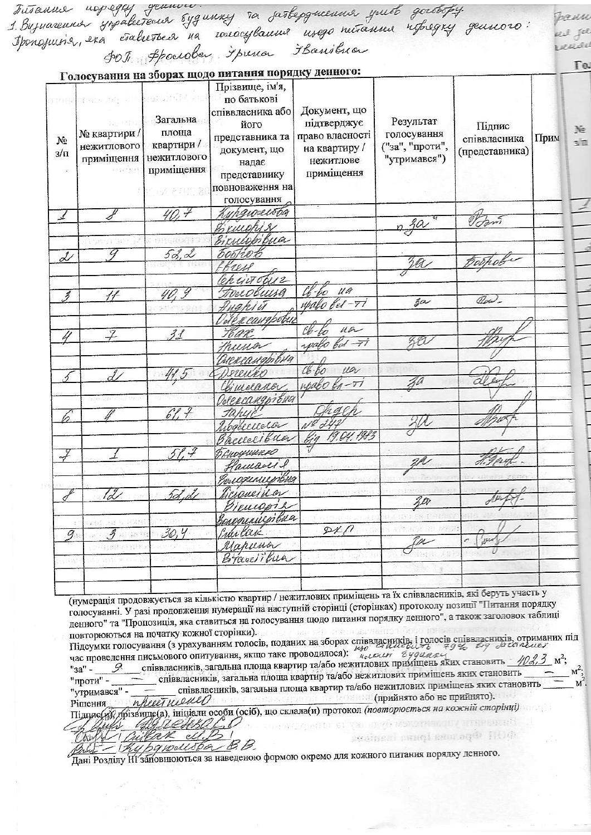|                          |                                                                                                                                                           |                                                                                | Futsanne nopegag gennow.<br>1. Bujuarenne ympabeterier sygnnag ia jarbepgneenne yweb gorotofy.<br>Iponojunie, era ciabeteree na werocybanne insgo netsanne nofegay gennoro:<br>POI: Ppoerober Forna Fbansbua<br>Голосування на зборах щодо питання порядку денного: |                                                                         |                                                             |                                          |      |
|--------------------------|-----------------------------------------------------------------------------------------------------------------------------------------------------------|--------------------------------------------------------------------------------|---------------------------------------------------------------------------------------------------------------------------------------------------------------------------------------------------------------------------------------------------------------------|-------------------------------------------------------------------------|-------------------------------------------------------------|------------------------------------------|------|
| $N_2$<br>$3/\Pi$         | otonalchaz» naj uli sprovinčki kne<br>№ квартири /<br>нежитлового<br>приміщення<br>$\mathbb{Z} \subseteq \mathbb{Z}$ if $\mathbb{Z} \subseteq \mathbb{Z}$ | Загальна<br>площа<br>квартири /<br>нежитлового<br>приміщення<br><b>BARROOM</b> | Прізвище, ім'я,<br>по батькові<br>співвласника або<br>його<br>представника та   право власності<br>документ, що<br>надає<br>представнику<br>повноваження на<br>голосування                                                                                          | Документ, що<br>підтверджує<br>на квартиру /<br>нежитлове<br>приміщення | Результат<br>голосування<br>("за", "проти",<br>"утримався") | Підпис<br>співвласника<br>(представника) | Прим |
| ◢                        |                                                                                                                                                           | 40.7                                                                           | Kypgwoestog                                                                                                                                                                                                                                                         |                                                                         |                                                             | Bom                                      |      |
|                          |                                                                                                                                                           |                                                                                | Gruppis                                                                                                                                                                                                                                                             |                                                                         | $\frac{2}{3}a$                                              |                                          |      |
|                          | 27.11.31                                                                                                                                                  |                                                                                | Bicucopibua                                                                                                                                                                                                                                                         |                                                                         |                                                             |                                          |      |
| $\mathcal{J}$            | $\overline{g}$                                                                                                                                            | 52, 2                                                                          | <i>Fostion</i>                                                                                                                                                                                                                                                      |                                                                         |                                                             |                                          |      |
|                          |                                                                                                                                                           |                                                                                | fbress                                                                                                                                                                                                                                                              |                                                                         | ra                                                          | toopobe                                  |      |
|                          |                                                                                                                                                           |                                                                                | Churchiz                                                                                                                                                                                                                                                            |                                                                         |                                                             |                                          |      |
| $\overline{\mathcal{Z}}$ |                                                                                                                                                           |                                                                                | Frecobuse                                                                                                                                                                                                                                                           | $46 - 60$ $11a$                                                         |                                                             | Olas-                                    |      |
|                          |                                                                                                                                                           |                                                                                | quapio                                                                                                                                                                                                                                                              | upako bel-Ti                                                            | 3a                                                          |                                          |      |
|                          |                                                                                                                                                           |                                                                                | Обександрович                                                                                                                                                                                                                                                       |                                                                         |                                                             |                                          |      |
|                          |                                                                                                                                                           | 31                                                                             | Har                                                                                                                                                                                                                                                                 | $U$ a                                                                   |                                                             |                                          |      |
|                          |                                                                                                                                                           |                                                                                | thuma                                                                                                                                                                                                                                                               | spalo bol -TT                                                           | 88                                                          |                                          |      |
|                          |                                                                                                                                                           |                                                                                | пександывна                                                                                                                                                                                                                                                         |                                                                         |                                                             |                                          |      |
| 5                        |                                                                                                                                                           |                                                                                | Derenko                                                                                                                                                                                                                                                             | 46.60<br>ua                                                             |                                                             |                                          |      |
|                          |                                                                                                                                                           |                                                                                | Chimelanov.                                                                                                                                                                                                                                                         | $m$ abo $n-ri$                                                          |                                                             |                                          |      |
|                          | $p \rightarrow 1$ and $p \rightarrow p$                                                                                                                   |                                                                                | Говерсандрівна                                                                                                                                                                                                                                                      |                                                                         |                                                             |                                          |      |
|                          |                                                                                                                                                           | 61.7                                                                           | tahui                                                                                                                                                                                                                                                               | hach                                                                    |                                                             |                                          |      |
|                          |                                                                                                                                                           |                                                                                | Nogbecudo                                                                                                                                                                                                                                                           | $N^2d44$                                                                | 20                                                          |                                          |      |
|                          |                                                                                                                                                           |                                                                                |                                                                                                                                                                                                                                                                     | Baccecibuar big 19.04.1983                                              |                                                             |                                          |      |
| $\vec{r}$                |                                                                                                                                                           | 51.7                                                                           | Пеноущие со                                                                                                                                                                                                                                                         |                                                                         |                                                             |                                          |      |
|                          |                                                                                                                                                           |                                                                                | queaser &                                                                                                                                                                                                                                                           |                                                                         |                                                             |                                          |      |
|                          |                                                                                                                                                           |                                                                                | axinuimóna                                                                                                                                                                                                                                                          |                                                                         |                                                             |                                          |      |
|                          | $\ell$                                                                                                                                                    |                                                                                | aveinca                                                                                                                                                                                                                                                             |                                                                         | 20                                                          |                                          |      |
|                          |                                                                                                                                                           |                                                                                |                                                                                                                                                                                                                                                                     |                                                                         |                                                             |                                          |      |
|                          | 活动 見 制限器                                                                                                                                                  |                                                                                | rguniconbua                                                                                                                                                                                                                                                         |                                                                         |                                                             |                                          |      |
| 9                        | $3$ and $^{10}$                                                                                                                                           | 30,4                                                                           | ider Kark                                                                                                                                                                                                                                                           | PLA                                                                     | Tor                                                         | 'yud                                     |      |
|                          | GIBS FINIT                                                                                                                                                |                                                                                | Mapuna<br>Bracciibua                                                                                                                                                                                                                                                |                                                                         |                                                             |                                          |      |

голосуванні. У разі продовження нумерації на наступній сторінці (сторінках) протоколу позиції "Питання порядку (нумерація продовжується за кількістю квартир / не денного" та "Пропозиція, яка ставиться на голосування щодо питання порядку денного", а також заголовок таблиці повторюються на початку кожної сторінки).

Підсумки голосування (з урахуванням голосів, поданих на зборах співвласників, і голосів співвласників, отриманих під<br>час проведення письмового опитування, якщо таке проводилося):  $\frac{\mu_{\theta}C}{k_{c}c}$ ени в уримани становить співвласників, загальна площа квартир та/або нежитлових приміщень яких становить "проти" співвласників, загальна площа квартир та/або нежитлових приміщень яких становить "утримався" прийнято або не прийнято). wheel well Рішення Підцяє (ді), прізвище (а), ініціали особи (осіб), що склала (и) протокол (повторюється на кожній сторінці)

reusor Be nearly please of the major formula in the property ldel Duff знатиені онифівногоді ПОФ

banometer B.B. Дані Розділу ИІ заповнюються за наведеною формою окремо для кожного питання порядку денного.

Chints